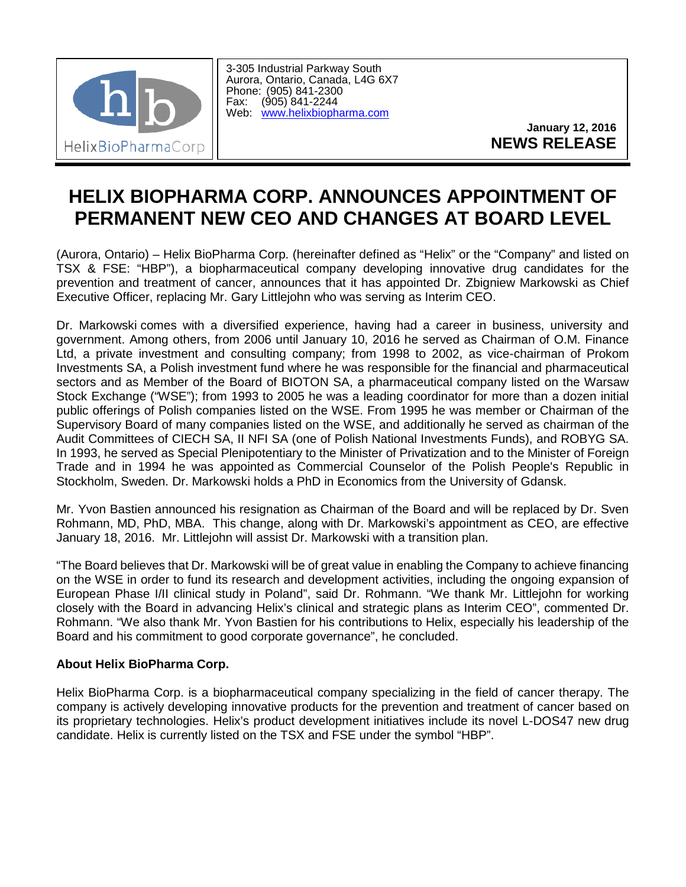

3-305 Industrial Parkway South Aurora, Ontario, Canada, L4G 6X7 Phone: (905) 841-2300<br>Fax: (905) 841-2244 (905) 841-2244 Web: [www.helixbiopharma.com](http://www.helixbiopharma.com/)

> **January 12, 2016 NEWS RELEASE**

## **HELIX BIOPHARMA CORP. ANNOUNCES APPOINTMENT OF PERMANENT NEW CEO AND CHANGES AT BOARD LEVEL**

(Aurora, Ontario) – Helix BioPharma Corp. (hereinafter defined as "Helix" or the "Company" and listed on TSX & FSE: "HBP"), a biopharmaceutical company developing innovative drug candidates for the prevention and treatment of cancer, announces that it has appointed Dr. Zbigniew Markowski as Chief Executive Officer, replacing Mr. Gary Littlejohn who was serving as Interim CEO.

Dr. Markowski comes with a diversified experience, having had a career in business, university and government. Among others, from 2006 until January 10, 2016 he served as Chairman of O.M. Finance Ltd, a private investment and consulting company; from 1998 to 2002, as vice-chairman of Prokom Investments SA, a Polish investment fund where he was responsible for the financial and pharmaceutical sectors and as Member of the Board of BIOTON SA, a pharmaceutical company listed on the Warsaw Stock Exchange ("WSE"); from 1993 to 2005 he was a leading coordinator for more than a dozen initial public offerings of Polish companies listed on the WSE. From 1995 he was member or Chairman of the Supervisory Board of many companies listed on the WSE, and additionally he served as chairman of the Audit Committees of CIECH SA, II NFI SA (one of Polish National Investments Funds), and ROBYG SA. In 1993, he served as Special Plenipotentiary to the Minister of Privatization and to the Minister of Foreign Trade and in 1994 he was appointed as Commercial Counselor of the Polish People's Republic in Stockholm, Sweden. Dr. Markowski holds a PhD in Economics from the University of Gdansk.

Mr. Yvon Bastien announced his resignation as Chairman of the Board and will be replaced by Dr. Sven Rohmann, MD, PhD, MBA. This change, along with Dr. Markowski's appointment as CEO, are effective January 18, 2016. Mr. Littlejohn will assist Dr. Markowski with a transition plan.

"The Board believes that Dr. Markowski will be of great value in enabling the Company to achieve financing on the WSE in order to fund its research and development activities, including the ongoing expansion of European Phase I/II clinical study in Poland", said Dr. Rohmann. "We thank Mr. Littlejohn for working closely with the Board in advancing Helix's clinical and strategic plans as Interim CEO", commented Dr. Rohmann. "We also thank Mr. Yvon Bastien for his contributions to Helix, especially his leadership of the Board and his commitment to good corporate governance", he concluded.

## **About Helix BioPharma Corp.**

Helix BioPharma Corp. is a biopharmaceutical company specializing in the field of cancer therapy. The company is actively developing innovative products for the prevention and treatment of cancer based on its proprietary technologies. Helix's product development initiatives include its novel L-DOS47 new drug candidate. Helix is currently listed on the TSX and FSE under the symbol "HBP".